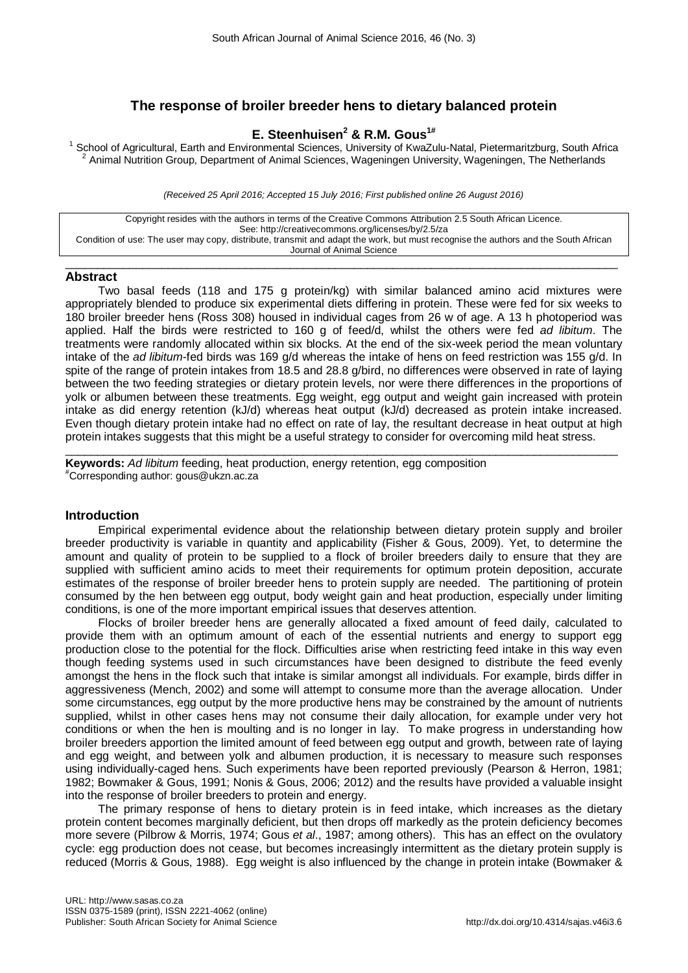# **The response of broiler breeder hens to dietary balanced protein**

## **E. Steenhuisen2 & R.M. Gous1#**

School of Agricultural, Earth and Environmental Sciences, University of KwaZulu-Natal, Pietermaritzburg, South Africa<br><sup>2</sup> Animal Nutrition Group, Department of Animal Sciences, Wageningen University, Wageningen, The Nether

*(Received 25 April 2016; Accepted 15 July 2016; First published online 26 August 2016)*

Copyright resides with the authors in terms of the Creative Commons Attribution 2.5 South African Licence. See: http://creativecommons.org/licenses/by/2.5/za Condition of use: The user may copy, distribute, transmit and adapt the work, but must recognise the authors and the South African Journal of Animal Science

 $\_$  , and the set of the set of the set of the set of the set of the set of the set of the set of the set of the set of the set of the set of the set of the set of the set of the set of the set of the set of the set of th

### **Abstract**

Two basal feeds (118 and 175 g protein/kg) with similar balanced amino acid mixtures were appropriately blended to produce six experimental diets differing in protein. These were fed for six weeks to 180 broiler breeder hens (Ross 308) housed in individual cages from 26 w of age. A 13 h photoperiod was applied. Half the birds were restricted to 160 g of feed/d, whilst the others were fed *ad libitum*. The treatments were randomly allocated within six blocks. At the end of the six-week period the mean voluntary intake of the *ad libitum*-fed birds was 169 g/d whereas the intake of hens on feed restriction was 155 g/d. In spite of the range of protein intakes from 18.5 and 28.8 g/bird, no differences were observed in rate of laying between the two feeding strategies or dietary protein levels, nor were there differences in the proportions of yolk or albumen between these treatments. Egg weight, egg output and weight gain increased with protein intake as did energy retention (kJ/d) whereas heat output (kJ/d) decreased as protein intake increased. Even though dietary protein intake had no effect on rate of lay, the resultant decrease in heat output at high protein intakes suggests that this might be a useful strategy to consider for overcoming mild heat stress.

 $\_$  , and the set of the set of the set of the set of the set of the set of the set of the set of the set of the set of the set of the set of the set of the set of the set of the set of the set of the set of the set of th **Keywords:** *Ad libitum* feeding, heat production, energy retention, egg composition # Corresponding author: gous@ukzn.ac.za

### **Introduction**

Empirical experimental evidence about the relationship between dietary protein supply and broiler breeder productivity is variable in quantity and applicability (Fisher & Gous, 2009). Yet, to determine the amount and quality of protein to be supplied to a flock of broiler breeders daily to ensure that they are supplied with sufficient amino acids to meet their requirements for optimum protein deposition, accurate estimates of the response of broiler breeder hens to protein supply are needed. The partitioning of protein consumed by the hen between egg output, body weight gain and heat production, especially under limiting conditions, is one of the more important empirical issues that deserves attention.

Flocks of broiler breeder hens are generally allocated a fixed amount of feed daily, calculated to provide them with an optimum amount of each of the essential nutrients and energy to support egg production close to the potential for the flock. Difficulties arise when restricting feed intake in this way even though feeding systems used in such circumstances have been designed to distribute the feed evenly amongst the hens in the flock such that intake is similar amongst all individuals. For example, birds differ in aggressiveness (Mench, 2002) and some will attempt to consume more than the average allocation. Under some circumstances, egg output by the more productive hens may be constrained by the amount of nutrients supplied, whilst in other cases hens may not consume their daily allocation, for example under very hot conditions or when the hen is moulting and is no longer in lay. To make progress in understanding how broiler breeders apportion the limited amount of feed between egg output and growth, between rate of laying and egg weight, and between yolk and albumen production, it is necessary to measure such responses using individually-caged hens. Such experiments have been reported previously (Pearson & Herron, 1981; 1982; Bowmaker & Gous, 1991; Nonis & Gous, 2006; 2012) and the results have provided a valuable insight into the response of broiler breeders to protein and energy.

The primary response of hens to dietary protein is in feed intake, which increases as the dietary protein content becomes marginally deficient, but then drops off markedly as the protein deficiency becomes more severe (Pilbrow & Morris, 1974; Gous *et al*., 1987; among others). This has an effect on the ovulatory cycle: egg production does not cease, but becomes increasingly intermittent as the dietary protein supply is reduced (Morris & Gous, 1988). Egg weight is also influenced by the change in protein intake (Bowmaker &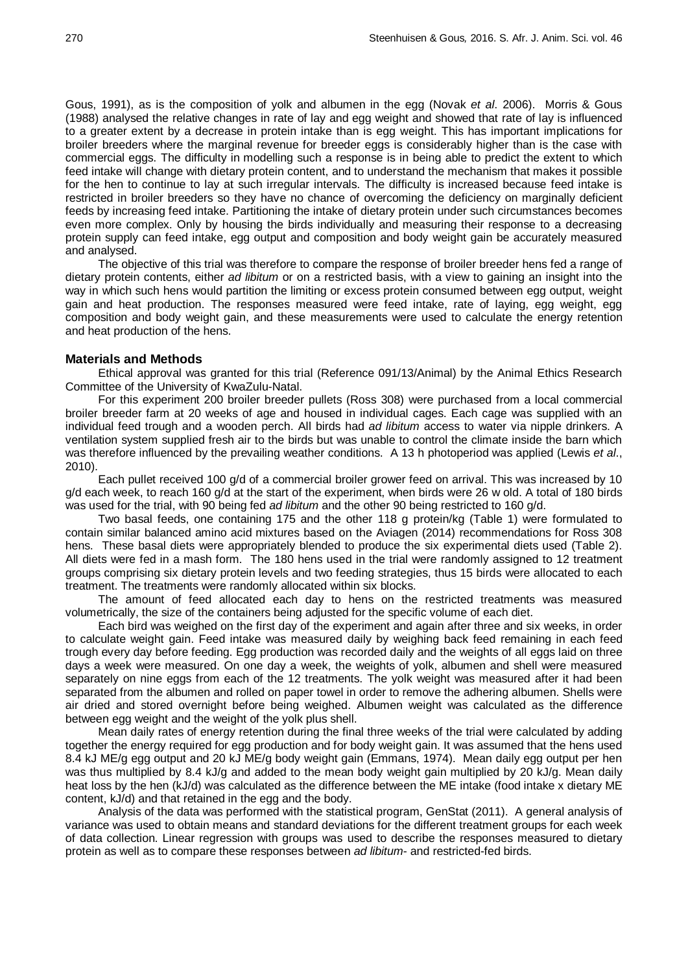Gous, 1991), as is the composition of yolk and albumen in the egg (Novak *et al*. 2006). Morris & Gous (1988) analysed the relative changes in rate of lay and egg weight and showed that rate of lay is influenced to a greater extent by a decrease in protein intake than is egg weight. This has important implications for broiler breeders where the marginal revenue for breeder eggs is considerably higher than is the case with commercial eggs. The difficulty in modelling such a response is in being able to predict the extent to which feed intake will change with dietary protein content, and to understand the mechanism that makes it possible for the hen to continue to lay at such irregular intervals. The difficulty is increased because feed intake is restricted in broiler breeders so they have no chance of overcoming the deficiency on marginally deficient feeds by increasing feed intake. Partitioning the intake of dietary protein under such circumstances becomes even more complex. Only by housing the birds individually and measuring their response to a decreasing protein supply can feed intake, egg output and composition and body weight gain be accurately measured and analysed.

The objective of this trial was therefore to compare the response of broiler breeder hens fed a range of dietary protein contents, either *ad libitum* or on a restricted basis, with a view to gaining an insight into the way in which such hens would partition the limiting or excess protein consumed between egg output, weight gain and heat production. The responses measured were feed intake, rate of laying, egg weight, egg composition and body weight gain, and these measurements were used to calculate the energy retention and heat production of the hens.

#### **Materials and Methods**

Ethical approval was granted for this trial (Reference 091/13/Animal) by the Animal Ethics Research Committee of the University of KwaZulu-Natal.

For this experiment 200 broiler breeder pullets (Ross 308) were purchased from a local commercial broiler breeder farm at 20 weeks of age and housed in individual cages. Each cage was supplied with an individual feed trough and a wooden perch. All birds had *ad libitum* access to water via nipple drinkers. A ventilation system supplied fresh air to the birds but was unable to control the climate inside the barn which was therefore influenced by the prevailing weather conditions. A 13 h photoperiod was applied (Lewis *et al.*, 2010).

Each pullet received 100 g/d of a commercial broiler grower feed on arrival. This was increased by 10 g/d each week, to reach 160 g/d at the start of the experiment, when birds were 26 w old. A total of 180 birds was used for the trial, with 90 being fed *ad libitum* and the other 90 being restricted to 160 g/d.

Two basal feeds, one containing 175 and the other 118 g protein/kg (Table 1) were formulated to contain similar balanced amino acid mixtures based on the Aviagen (2014) recommendations for Ross 308 hens. These basal diets were appropriately blended to produce the six experimental diets used (Table 2). All diets were fed in a mash form. The 180 hens used in the trial were randomly assigned to 12 treatment groups comprising six dietary protein levels and two feeding strategies, thus 15 birds were allocated to each treatment. The treatments were randomly allocated within six blocks.

The amount of feed allocated each day to hens on the restricted treatments was measured volumetrically, the size of the containers being adjusted for the specific volume of each diet.

Each bird was weighed on the first day of the experiment and again after three and six weeks, in order to calculate weight gain. Feed intake was measured daily by weighing back feed remaining in each feed trough every day before feeding. Egg production was recorded daily and the weights of all eggs laid on three days a week were measured. On one day a week, the weights of yolk, albumen and shell were measured separately on nine eggs from each of the 12 treatments. The yolk weight was measured after it had been separated from the albumen and rolled on paper towel in order to remove the adhering albumen. Shells were air dried and stored overnight before being weighed. Albumen weight was calculated as the difference between egg weight and the weight of the yolk plus shell.

Mean daily rates of energy retention during the final three weeks of the trial were calculated by adding together the energy required for egg production and for body weight gain. It was assumed that the hens used 8.4 kJ ME/g egg output and 20 kJ ME/g body weight gain (Emmans, 1974). Mean daily egg output per hen was thus multiplied by 8.4 kJ/g and added to the mean body weight gain multiplied by 20 kJ/g. Mean daily heat loss by the hen (kJ/d) was calculated as the difference between the ME intake (food intake x dietary ME content, kJ/d) and that retained in the egg and the body.

Analysis of the data was performed with the statistical program, GenStat (2011). A general analysis of variance was used to obtain means and standard deviations for the different treatment groups for each week of data collection. Linear regression with groups was used to describe the responses measured to dietary protein as well as to compare these responses between *ad libitum*- and restricted-fed birds.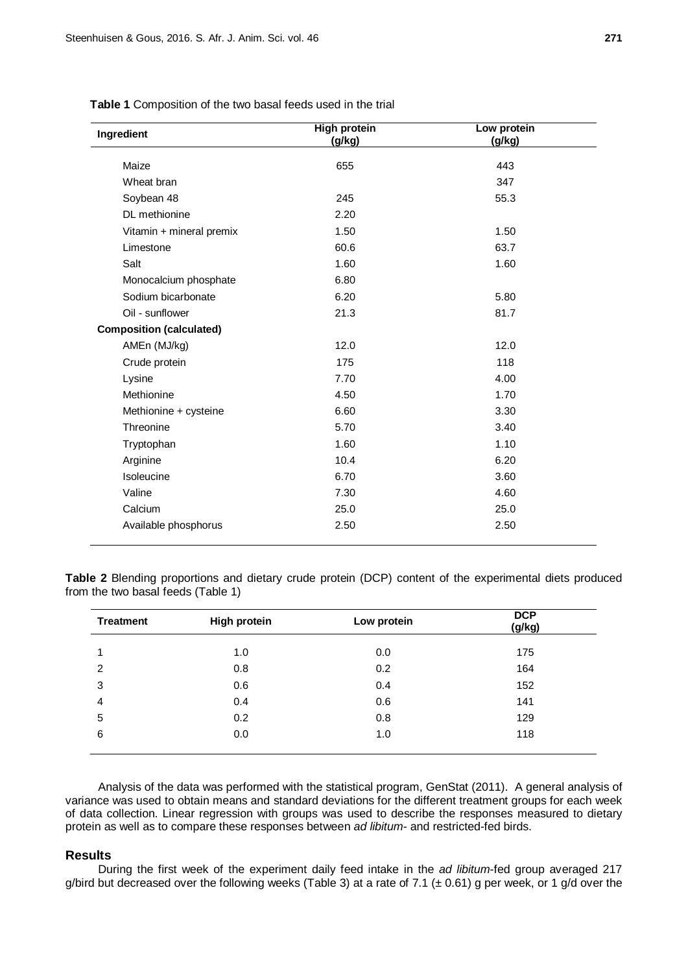| Ingredient                      | <b>High protein</b> | Low protein |
|---------------------------------|---------------------|-------------|
|                                 | (g/kg)              | (g/kg)      |
| Maize                           | 655                 | 443         |
| Wheat bran                      |                     | 347         |
| Soybean 48                      | 245                 | 55.3        |
| DL methionine                   | 2.20                |             |
| Vitamin + mineral premix        | 1.50                | 1.50        |
| Limestone                       | 60.6                | 63.7        |
| Salt                            | 1.60                | 1.60        |
| Monocalcium phosphate           | 6.80                |             |
| Sodium bicarbonate              | 6.20                | 5.80        |
| Oil - sunflower                 | 21.3                | 81.7        |
| <b>Composition (calculated)</b> |                     |             |
| AMEn (MJ/kg)                    | 12.0                | 12.0        |
| Crude protein                   | 175                 | 118         |
| Lysine                          | 7.70                | 4.00        |
| Methionine                      | 4.50                | 1.70        |
| Methionine + cysteine           | 6.60                | 3.30        |
| Threonine                       | 5.70                | 3.40        |
| Tryptophan                      | 1.60                | 1.10        |
| Arginine                        | 10.4                | 6.20        |
| Isoleucine                      | 6.70                | 3.60        |
| Valine                          | 7.30                | 4.60        |
| Calcium                         | 25.0                | 25.0        |
| Available phosphorus            | 2.50                | 2.50        |

**Table 1** Composition of the two basal feeds used in the trial

**Table 2** Blending proportions and dietary crude protein (DCP) content of the experimental diets produced from the two basal feeds (Table 1)

| <b>Treatment</b> | <b>High protein</b> | Low protein | <b>DCP</b><br>(g/kg) |
|------------------|---------------------|-------------|----------------------|
| 1                | 1.0                 | 0.0         | 175                  |
| 2                | 0.8                 | 0.2         | 164                  |
| 3                | 0.6                 | 0.4         | 152                  |
| 4                | 0.4                 | 0.6         | 141                  |
| 5                | 0.2                 | 0.8         | 129                  |
| 6                | 0.0                 | 1.0         | 118                  |
|                  |                     |             |                      |

Analysis of the data was performed with the statistical program, GenStat (2011). A general analysis of variance was used to obtain means and standard deviations for the different treatment groups for each week of data collection. Linear regression with groups was used to describe the responses measured to dietary protein as well as to compare these responses between *ad libitum-* and restricted-fed birds.

### **Results**

During the first week of the experiment daily feed intake in the *ad libitum*-fed group averaged 217 g/bird but decreased over the following weeks (Table 3) at a rate of 7.1 ( $\pm$  0.61) g per week, or 1 g/d over the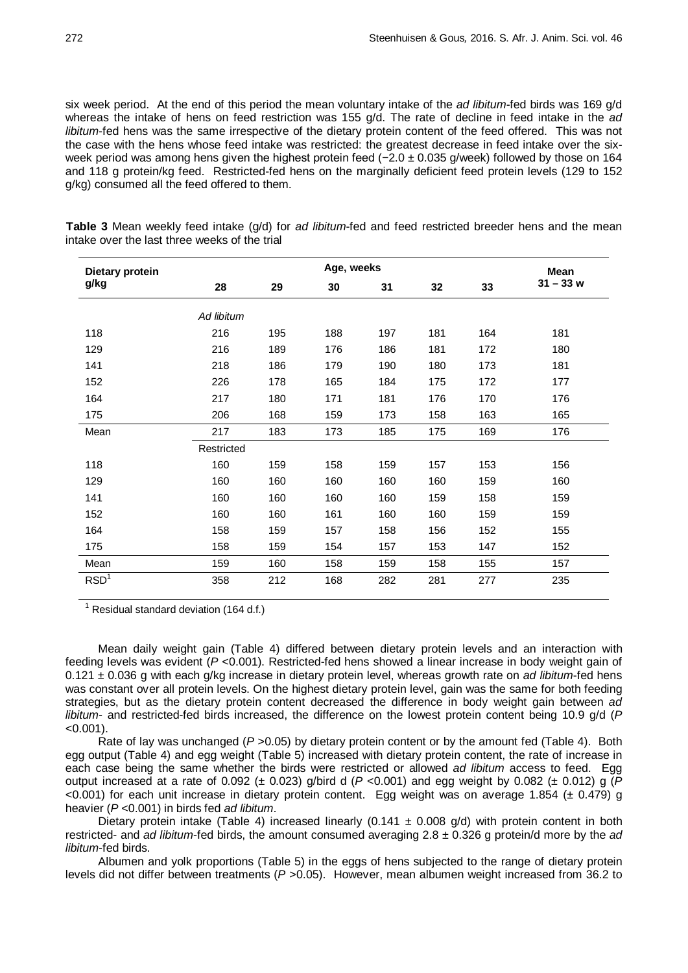six week period. At the end of this period the mean voluntary intake of the *ad libitum*-fed birds was 169 g/d whereas the intake of hens on feed restriction was 155 g/d. The rate of decline in feed intake in the *ad libitum*-fed hens was the same irrespective of the dietary protein content of the feed offered. This was not the case with the hens whose feed intake was restricted: the greatest decrease in feed intake over the sixweek period was among hens given the highest protein feed (−2.0 ± 0.035 g/week) followed by those on 164 and 118 g protein/kg feed. Restricted-fed hens on the marginally deficient feed protein levels (129 to 152 g/kg) consumed all the feed offered to them.

**Dietary protein g/kg Age, weeks Mean 29 30 31 32 33 31 – 33 w** *Ad libitum* 216 195 188 197 181 164 181 216 189 176 186 181 172 180 218 186 179 190 180 173 181 226 178 165 184 175 172 177 217 180 171 181 176 170 176 206 168 159 173 158 163 165 Mean 217 183 173 185 175 169 176 Restricted 160 159 158 159 157 153 156 160 160 160 160 160 159 160 160 160 160 160 159 158 159 160 160 161 160 160 159 159 158 159 157 158 156 152 155 158 159 154 157 153 147 152 Mean 159 160 158 159 158 155 157  $\mathsf{RSD}^1$  358 212 168 282 281 277 235

**Table 3** Mean weekly feed intake (g/d) for *ad libitum*-fed and feed restricted breeder hens and the mean intake over the last three weeks of the trial

 $1$  Residual standard deviation (164 d.f.)

Mean daily weight gain (Table 4) differed between dietary protein levels and an interaction with feeding levels was evident (*P* <0.001). Restricted-fed hens showed a linear increase in body weight gain of 0.121 ± 0.036 g with each g/kg increase in dietary protein level, whereas growth rate on *ad libitum*-fed hens was constant over all protein levels. On the highest dietary protein level, gain was the same for both feeding strategies, but as the dietary protein content decreased the difference in body weight gain between *ad libitum*- and restricted-fed birds increased, the difference on the lowest protein content being 10.9 g/d (*P*  $< 0.001$ ).

Rate of lay was unchanged (*P* > 0.05) by dietary protein content or by the amount fed (Table 4). Both egg output (Table 4) and egg weight (Table 5) increased with dietary protein content, the rate of increase in each case being the same whether the birds were restricted or allowed *ad libitum* access to feed. Egg output increased at a rate of 0.092 ( $\pm$  0.023) g/bird d ( $P$  <0.001) and egg weight by 0.082 ( $\pm$  0.012) g ( $P$  $<$ 0.001) for each unit increase in dietary protein content. Egg weight was on average 1.854 ( $\pm$  0.479) g heavier (*P* <0.001) in birds fed *ad libitum*.

Dietary protein intake (Table 4) increased linearly (0.141  $\pm$  0.008 g/d) with protein content in both restricted- and *ad libitum*-fed birds, the amount consumed averaging 2.8 ± 0.326 g protein/d more by the *ad libitum*-fed birds.

Albumen and yolk proportions (Table 5) in the eggs of hens subjected to the range of dietary protein levels did not differ between treatments (*P* >0.05). However, mean albumen weight increased from 36.2 to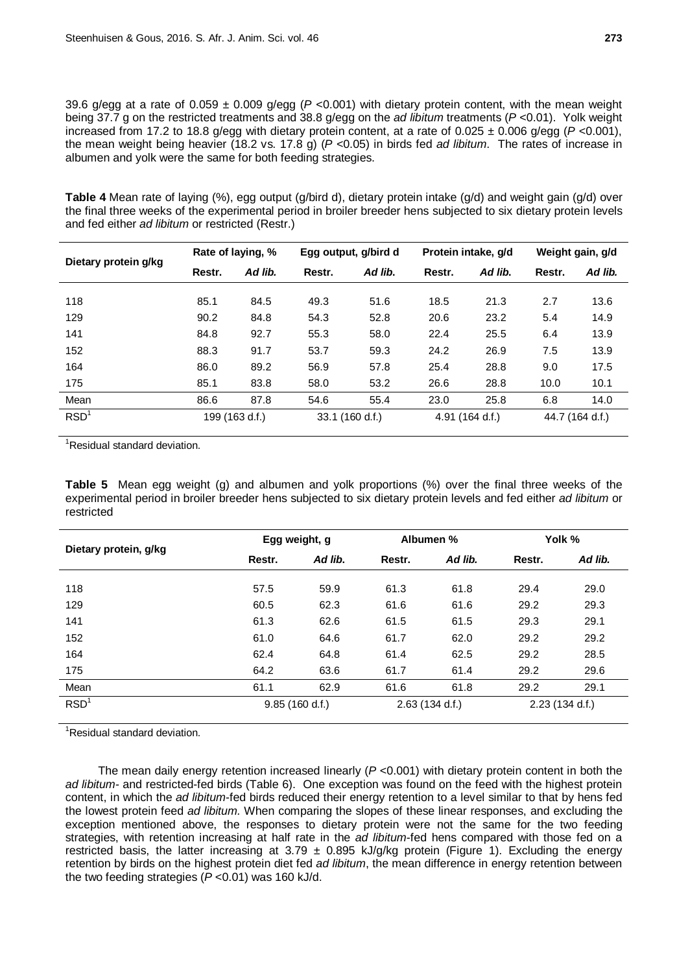39.6 g/egg at a rate of 0.059 ± 0.009 g/egg (*P* <0.001) with dietary protein content, with the mean weight being 37.7 g on the restricted treatments and 38.8 g/egg on the *ad libitum* treatments (*P* <0.01). Yolk weight increased from 17.2 to 18.8 g/egg with dietary protein content, at a rate of 0.025 ± 0.006 g/egg (*P* <0.001), the mean weight being heavier (18.2 vs. 17.8 g) (*P* <0.05) in birds fed *ad libitum*. The rates of increase in albumen and yolk were the same for both feeding strategies.

**Table 4** Mean rate of laying (%), egg output (g/bird d), dietary protein intake (g/d) and weight gain (g/d) over the final three weeks of the experimental period in broiler breeder hens subjected to six dietary protein levels and fed either *ad libitum* or restricted (Restr.)

| Dietary protein g/kg | Rate of laying, % |         | Egg output, g/bird d |         | Protein intake, g/d |         | Weight gain, g/d |         |
|----------------------|-------------------|---------|----------------------|---------|---------------------|---------|------------------|---------|
|                      | Restr.            | Ad lib. | Restr.               | Ad lib. | Restr.              | Ad lib. | Restr.           | Ad lib. |
| 118                  | 85.1              | 84.5    | 49.3                 | 51.6    | 18.5                | 21.3    | 2.7              | 13.6    |
| 129                  | 90.2              | 84.8    | 54.3                 | 52.8    | 20.6                | 23.2    | 5.4              | 14.9    |
| 141                  | 84.8              | 92.7    | 55.3                 | 58.0    | 22.4                | 25.5    | 6.4              | 13.9    |
| 152                  | 88.3              | 91.7    | 53.7                 | 59.3    | 24.2                | 26.9    | 7.5              | 13.9    |
| 164                  | 86.0              | 89.2    | 56.9                 | 57.8    | 25.4                | 28.8    | 9.0              | 17.5    |
| 175                  | 85.1              | 83.8    | 58.0                 | 53.2    | 26.6                | 28.8    | 10.0             | 10.1    |
| Mean                 | 86.6              | 87.8    | 54.6                 | 55.4    | 23.0                | 25.8    | 6.8              | 14.0    |
| RSD <sup>1</sup>     | 199 (163 d.f.)    |         | 33.1 (160 d.f.)      |         | 4.91 (164 d.f.)     |         | 44.7 (164 d.f.)  |         |

<sup>1</sup>Residual standard deviation.

**Table 5** Mean egg weight (g) and albumen and yolk proportions (%) over the final three weeks of the experimental period in broiler breeder hens subjected to six dietary protein levels and fed either *ad libitum* or restricted

| Dietary protein, g/kg | Egg weight, g  |         | Albumen %      |         | Yolk %         |         |
|-----------------------|----------------|---------|----------------|---------|----------------|---------|
|                       | Restr.         | Ad lib. | Restr.         | Ad lib. | Restr.         | Ad lib. |
| 118                   | 57.5           | 59.9    | 61.3           | 61.8    | 29.4           | 29.0    |
| 129                   | 60.5           | 62.3    | 61.6           | 61.6    | 29.2           | 29.3    |
| 141                   | 61.3           | 62.6    | 61.5           | 61.5    | 29.3           | 29.1    |
| 152                   | 61.0           | 64.6    | 61.7           | 62.0    | 29.2           | 29.2    |
| 164                   | 62.4           | 64.8    | 61.4           | 62.5    | 29.2           | 28.5    |
| 175                   | 64.2           | 63.6    | 61.7           | 61.4    | 29.2           | 29.6    |
| Mean                  | 61.1           | 62.9    | 61.6           | 61.8    | 29.2           | 29.1    |
| RSD <sup>1</sup>      | 9.85(160 d.f.) |         | 2.63(134 d.f.) |         | 2.23(134 d.f.) |         |

<sup>1</sup>Residual standard deviation.

The mean daily energy retention increased linearly (*P* <0.001) with dietary protein content in both the *ad libitum-* and restricted-fed birds (Table 6). One exception was found on the feed with the highest protein content, in which the *ad libitum*-fed birds reduced their energy retention to a level similar to that by hens fed the lowest protein feed *ad libitum.* When comparing the slopes of these linear responses, and excluding the exception mentioned above, the responses to dietary protein were not the same for the two feeding strategies, with retention increasing at half rate in the *ad libitum*-fed hens compared with those fed on a restricted basis, the latter increasing at  $3.79 \pm 0.895$  kJ/g/kg protein (Figure 1). Excluding the energy retention by birds on the highest protein diet fed *ad libitum*, the mean difference in energy retention between the two feeding strategies (*P* <0.01) was 160 kJ/d.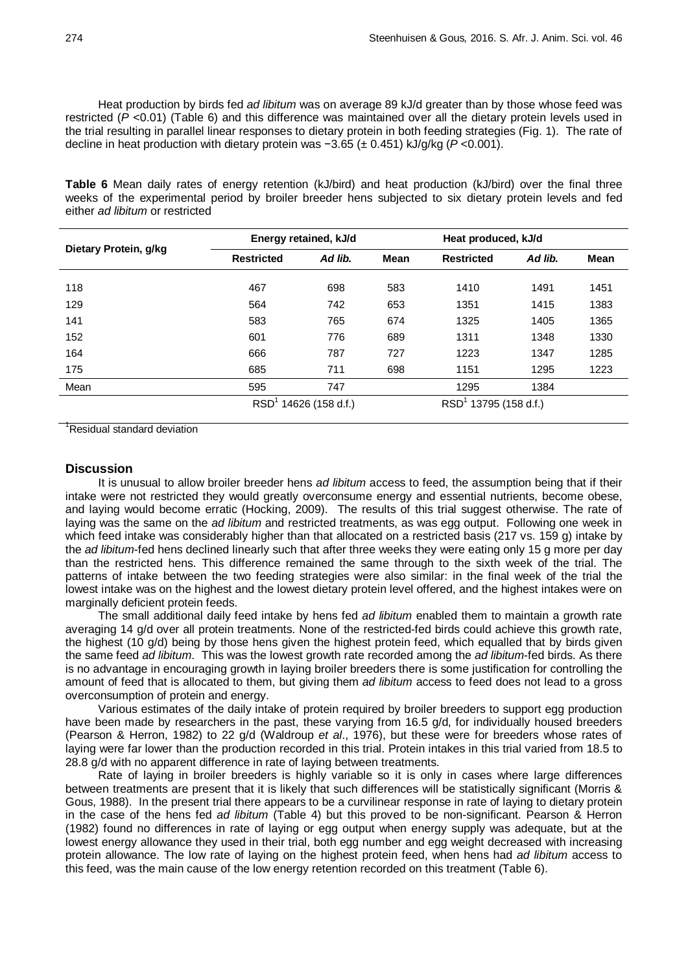Heat production by birds fed *ad libitum* was on average 89 kJ/d greater than by those whose feed was restricted (*P* <0.01) (Table 6) and this difference was maintained over all the dietary protein levels used in the trial resulting in parallel linear responses to dietary protein in both feeding strategies (Fig. 1). The rate of decline in heat production with dietary protein was −3.65 (± 0.451) kJ/g/kg (*P* <0.001).

**Table 6** Mean daily rates of energy retention (kJ/bird) and heat production (kJ/bird) over the final three weeks of the experimental period by broiler breeder hens subjected to six dietary protein levels and fed either *ad libitum* or restricted

| Dietary Protein, g/kg | Energy retained, kJ/d          |         |             | Heat produced, kJ/d     |         |      |
|-----------------------|--------------------------------|---------|-------------|-------------------------|---------|------|
|                       | <b>Restricted</b>              | Ad lib. | <b>Mean</b> | <b>Restricted</b>       | Ad lib. | Mean |
| 118                   | 467                            | 698     | 583         | 1410                    | 1491    | 1451 |
| 129                   | 564                            | 742     | 653         | 1351                    | 1415    | 1383 |
| 141                   | 583                            | 765     | 674         | 1325                    | 1405    | 1365 |
| 152                   | 601                            | 776     | 689         | 1311                    | 1348    | 1330 |
| 164                   | 666                            | 787     | 727         | 1223                    | 1347    | 1285 |
| 175                   | 685                            | 711     | 698         | 1151                    | 1295    | 1223 |
| Mean                  | 595                            | 747     |             | 1295                    | 1384    |      |
|                       | <b>RSD</b><br>14626 (158 d.f.) |         |             | $RSD1$ 13795 (158 d.f.) |         |      |

<sup>1</sup>Residual standard deviation

### **Discussion**

It is unusual to allow broiler breeder hens *ad libitum* access to feed, the assumption being that if their intake were not restricted they would greatly overconsume energy and essential nutrients, become obese, and laying would become erratic (Hocking, 2009). The results of this trial suggest otherwise. The rate of laying was the same on the *ad libitum* and restricted treatments, as was egg output. Following one week in which feed intake was considerably higher than that allocated on a restricted basis (217 vs. 159 g) intake by the *ad libitum*-fed hens declined linearly such that after three weeks they were eating only 15 g more per day than the restricted hens. This difference remained the same through to the sixth week of the trial. The patterns of intake between the two feeding strategies were also similar: in the final week of the trial the lowest intake was on the highest and the lowest dietary protein level offered, and the highest intakes were on marginally deficient protein feeds.

The small additional daily feed intake by hens fed *ad libitum* enabled them to maintain a growth rate averaging 14 g/d over all protein treatments. None of the restricted-fed birds could achieve this growth rate, the highest (10 g/d) being by those hens given the highest protein feed, which equalled that by birds given the same feed *ad libitum*. This was the lowest growth rate recorded among the *ad libitum*-fed birds. As there is no advantage in encouraging growth in laying broiler breeders there is some justification for controlling the amount of feed that is allocated to them, but giving them *ad libitum* access to feed does not lead to a gross overconsumption of protein and energy.

Various estimates of the daily intake of protein required by broiler breeders to support egg production have been made by researchers in the past, these varying from 16.5 g/d, for individually housed breeders (Pearson & Herron, 1982) to 22 g/d (Waldroup *et al*., 1976), but these were for breeders whose rates of laying were far lower than the production recorded in this trial. Protein intakes in this trial varied from 18.5 to 28.8 g/d with no apparent difference in rate of laying between treatments.

Rate of laying in broiler breeders is highly variable so it is only in cases where large differences between treatments are present that it is likely that such differences will be statistically significant (Morris & Gous, 1988). In the present trial there appears to be a curvilinear response in rate of laying to dietary protein in the case of the hens fed *ad libitum* (Table 4) but this proved to be non-significant. Pearson & Herron (1982) found no differences in rate of laying or egg output when energy supply was adequate, but at the lowest energy allowance they used in their trial, both egg number and egg weight decreased with increasing protein allowance. The low rate of laying on the highest protein feed, when hens had *ad libitum* access to this feed, was the main cause of the low energy retention recorded on this treatment (Table 6).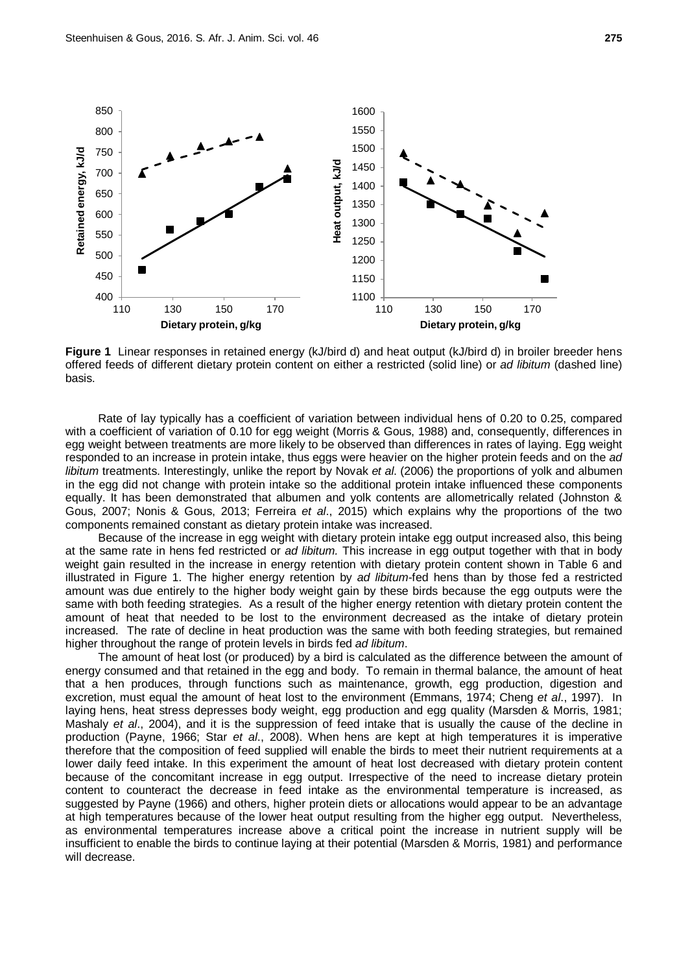

**Figure 1** Linear responses in retained energy (kJ/bird d) and heat output (kJ/bird d) in broiler breeder hens offered feeds of different dietary protein content on either a restricted (solid line) or *ad libitum* (dashed line) basis.

Rate of lay typically has a coefficient of variation between individual hens of 0.20 to 0.25, compared with a coefficient of variation of 0.10 for egg weight (Morris & Gous, 1988) and, consequently, differences in egg weight between treatments are more likely to be observed than differences in rates of laying. Egg weight responded to an increase in protein intake, thus eggs were heavier on the higher protein feeds and on the *ad libitum* treatments. Interestingly, unlike the report by Novak *et al*. (2006) the proportions of yolk and albumen in the egg did not change with protein intake so the additional protein intake influenced these components equally. It has been demonstrated that albumen and yolk contents are allometrically related (Johnston & Gous, 2007; Nonis & Gous, 2013; Ferreira *et al*., 2015) which explains why the proportions of the two components remained constant as dietary protein intake was increased.

Because of the increase in egg weight with dietary protein intake egg output increased also, this being at the same rate in hens fed restricted or *ad libitum.* This increase in egg output together with that in body weight gain resulted in the increase in energy retention with dietary protein content shown in Table 6 and illustrated in Figure 1. The higher energy retention by *ad libitum*-fed hens than by those fed a restricted amount was due entirely to the higher body weight gain by these birds because the egg outputs were the same with both feeding strategies. As a result of the higher energy retention with dietary protein content the amount of heat that needed to be lost to the environment decreased as the intake of dietary protein increased. The rate of decline in heat production was the same with both feeding strategies, but remained higher throughout the range of protein levels in birds fed *ad libitum*.

The amount of heat lost (or produced) by a bird is calculated as the difference between the amount of energy consumed and that retained in the egg and body. To remain in thermal balance, the amount of heat that a hen produces, through functions such as maintenance, growth, egg production, digestion and excretion, must equal the amount of heat lost to the environment (Emmans, 1974; Cheng *et al*., 1997). In laying hens, heat stress depresses body weight, egg production and egg quality (Marsden & Morris, 1981; Mashaly *et al*., 2004), and it is the suppression of feed intake that is usually the cause of the decline in production (Payne, 1966; Star *et al*., 2008). When hens are kept at high temperatures it is imperative therefore that the composition of feed supplied will enable the birds to meet their nutrient requirements at a lower daily feed intake. In this experiment the amount of heat lost decreased with dietary protein content because of the concomitant increase in egg output. Irrespective of the need to increase dietary protein content to counteract the decrease in feed intake as the environmental temperature is increased, as suggested by Payne (1966) and others, higher protein diets or allocations would appear to be an advantage at high temperatures because of the lower heat output resulting from the higher egg output. Nevertheless, as environmental temperatures increase above a critical point the increase in nutrient supply will be insufficient to enable the birds to continue laying at their potential (Marsden & Morris, 1981) and performance will decrease.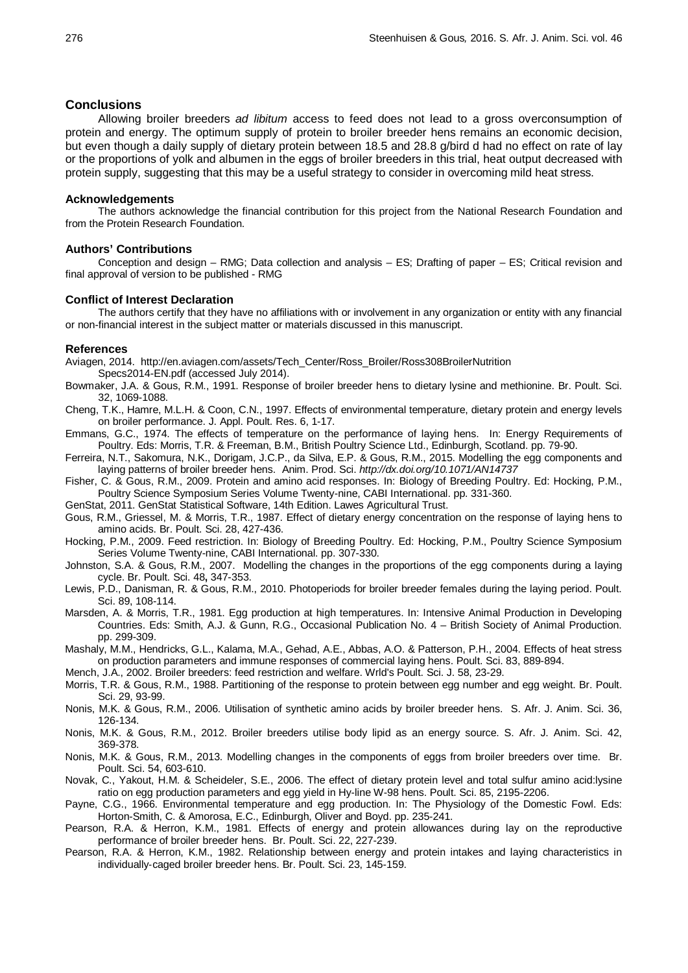### **Conclusions**

Allowing broiler breeders *ad libitum* access to feed does not lead to a gross overconsumption of protein and energy. The optimum supply of protein to broiler breeder hens remains an economic decision, but even though a daily supply of dietary protein between 18.5 and 28.8 g/bird d had no effect on rate of lay or the proportions of yolk and albumen in the eggs of broiler breeders in this trial, heat output decreased with protein supply, suggesting that this may be a useful strategy to consider in overcoming mild heat stress.

### **Acknowledgements**

The authors acknowledge the financial contribution for this project from the National Research Foundation and from the Protein Research Foundation.

### **Authors' Contributions**

Conception and design – RMG; Data collection and analysis – ES; Drafting of paper – ES; Critical revision and final approval of version to be published - RMG

#### **Conflict of Interest Declaration**

The authors certify that they have no affiliations with or involvement in any organization or entity with any financial or non-financial interest in the subject matter or materials discussed in this manuscript.

#### **References**

Aviagen, 2014. http://en.aviagen.com/assets/Tech\_Center/Ross\_Broiler/Ross308BroilerNutrition Specs2014-EN.pdf (accessed July 2014).

- Bowmaker, J.A. & Gous, R.M., 1991. Response of broiler breeder hens to dietary lysine and methionine. Br. Poult. Sci. 32, 1069-1088.
- Cheng, T.K., Hamre, M.L.H. & Coon, C.N., 1997. Effects of environmental temperature, dietary protein and energy levels on broiler performance. J. Appl. Poult. Res. 6, 1-17.
- Emmans, G.C., 1974. The effects of temperature on the performance of laying hens. In: Energy Requirements of Poultry. Eds: Morris, T.R. & Freeman, B.M., British Poultry Science Ltd., Edinburgh, Scotland. pp. 79-90.
- Ferreira, N.T., Sakomura, N.K., Dorigam, J.C.P., da Silva, E.P. & Gous, R.M., 2015. Modelling the egg components and laying patterns of broiler breeder hens. Anim. Prod. Sci. *http://dx.doi.org/10.1071/AN14737*
- Fisher, C. & Gous, R.M., 2009. Protein and amino acid responses. In: Biology of Breeding Poultry. Ed: Hocking, P.M., Poultry Science Symposium Series Volume Twenty-nine, CABI International. pp. 331-360.

GenStat, 2011. GenStat Statistical Software, 14th Edition. Lawes Agricultural Trust.

- Gous, R.M., Griessel, M. & Morris, T.R., 1987. Effect of dietary energy concentration on the response of laying hens to amino acids. Br. Poult. Sci. 28, 427-436.
- Hocking, P.M., 2009. Feed restriction. In: Biology of Breeding Poultry. Ed: Hocking, P.M., Poultry Science Symposium Series Volume Twenty-nine, CABI International. pp. 307-330.

Johnston, S.A. & Gous, R.M., 2007. Modelling the changes in the proportions of the egg components during a laying cycle. Br. Poult. Sci. 48**,** 347-353.

- Lewis, P.D., Danisman, R. & Gous, R.M., 2010. Photoperiods for broiler breeder females during the laying period. Poult. Sci. 89, 108-114.
- Marsden, A. & Morris, T.R., 1981. Egg production at high temperatures. In: Intensive Animal Production in Developing Countries. Eds: Smith, A.J. & Gunn, R.G., Occasional Publication No. 4 – British Society of Animal Production. pp. 299-309.
- Mashaly, M.M., Hendricks, G.L., Kalama, M.A., Gehad, A.E., Abbas, A.O. & Patterson, P.H., 2004. Effects of heat stress on production parameters and immune responses of commercial laying hens. Poult. Sci. 83, 889-894.

Mench, J.A., 2002. Broiler breeders: feed restriction and welfare. Wrld's Poult. Sci. J. 58, 23-29.

Morris, T.R. & Gous, R.M., 1988. Partitioning of the response to protein between egg number and egg weight. Br. Poult. Sci. 29, 93-99.

- Nonis, M.K. & Gous, R.M., 2006. Utilisation of synthetic amino acids by broiler breeder hens. S. Afr. J. Anim. Sci. 36, 126-134.
- Nonis, M.K. & Gous, R.M., 2012. Broiler breeders utilise body lipid as an energy source. S. Afr. J. Anim. Sci. 42, 369-378.
- Nonis, M.K. & Gous, R.M., 2013. Modelling changes in the components of eggs from broiler breeders over time. Br. Poult. Sci. 54, 603-610.
- Novak, C., Yakout, H.M. & Scheideler, S.E., 2006. The effect of dietary protein level and total sulfur amino acid:lysine ratio on egg production parameters and egg yield in Hy-line W-98 hens. Poult. Sci. 85, 2195-2206.
- Payne, C.G., 1966. Environmental temperature and egg production. In: The Physiology of the Domestic Fowl. Eds: Horton-Smith, C. & Amorosa, E.C., Edinburgh, Oliver and Boyd. pp. 235-241.
- Pearson, R.A. & Herron, K.M., 1981. Effects of energy and protein allowances during lay on the reproductive performance of broiler breeder hens. Br. Poult. Sci. 22, 227-239.
- Pearson, R.A. & Herron, K.M., 1982. Relationship between energy and protein intakes and laying characteristics in individually‐caged broiler breeder hens. Br. Poult. Sci. 23, 145-159.